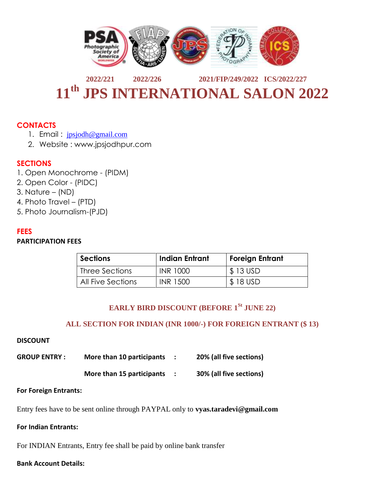

# **2022/221 2022/226 2021/FIP/249/2022 ICS/2022/227 11th JPS INTERNATIONAL SALON 2022**

### **CONTACTS**

- 1. Email : [jpsjodh@gmail.com](mailto:jpsjodh@gmail.com)
- 2. Website : www.jpsjodhpur.com

### **SECTIONS**

- 1. Open Monochrome (PIDM)
- 2. Open Color (PIDC)
- 3. Nature (ND)
- 4. Photo Travel (PTD)
- 5. Photo Journalism-(PJD)

#### **FEES**

#### **PARTICIPATION FEES**

| Sections          | Indian Entrant  | <b>Foreign Entrant</b> |
|-------------------|-----------------|------------------------|
| Three Sections    | <b>INR 1000</b> | $$13$ USD              |
| All Five Sections | INR 1500        | \$18 USD               |

# **EARLY BIRD DISCOUNT (BEFORE 1St JUNE 22)**

#### **ALL SECTION FOR INDIAN (INR 1000/-) FOR FOREIGN ENTRANT (\$ 13)**

#### **DISCOUNT**

| <b>GROUP ENTRY:</b> | More than 10 participants | 20% (all five sections) |  |
|---------------------|---------------------------|-------------------------|--|
|                     | More than 15 participants | 30% (all five sections) |  |

#### **For Foreign Entrants:**

Entry fees have to be sent online through PAYPAL only to **vyas.taradevi@gmail.com**

**For Indian Entrants:**

For INDIAN Entrants, Entry fee shall be paid by online bank transfer

#### **Bank Account Details:**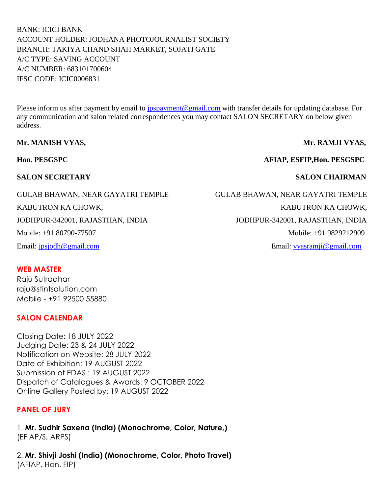BANK: ICICI BANK ACCOUNT HOLDER: JODHANA PHOTOJOURNALIST SOCIETY BRANCH: TAKIYA CHAND SHAH MARKET, SOJATI GATE A/C TYPE: SAVING ACCOUNT A/C NUMBER: 683101700604 IFSC CODE: ICIC0006831

Please inform us after payment by email to *jpspayment@gmail.com* with transfer details for updating database. For any communication and salon related correspondences you may contact SALON SECRETARY on below given address.

#### **Mr. MANISH VYAS, Sandware Mr. RAMJI VYAS,**

**Hon. PESGSPC AFIAP, ESFIP,Hon. PESGSPC**

#### **SALON SECRETARY SALON CHAIRMAN**

# **WEB MASTER**

Raju Sutradhar raju@stintsolution.com Mobile - +91 92500 55880

#### **SALON CALENDAR**

Closing Date: 18 JULY 2022 Judging Date: 23 & 24 JULY 2022 Notification on Website: 28 JULY 2022 Date of Exhibition: 19 AUGUST 2022 Submission of EDAS : 19 AUGUST 2022 Dispatch of Catalogues & Awards: 9 OCTOBER 2022 Online Gallery Posted by: 19 AUGUST 2022

#### **PANEL OF JURY**

1. **Mr. Sudhir Saxena (India) (Monochrome, Color, Nature,)** (EFIAP/S, ARPS)

2. **Mr. Shivji Joshi (India) (Monochrome, Color, Photo Travel)** (AFIAP, Hon. FIP)

GULAB BHAWAN, NEAR GAYATRI TEMPLE GULAB BHAWAN, NEAR GAYATRI TEMPLE KABUTRON KA CHOWK, THE GROUP OF THE CHOWK, THE CHOWK, THE CHOWK, THE CHOWK, THE CHOWK, THE CHOWK, THE CHOWK, THE CHOWK, THE CHOWK, THE CHOWK, THE CHOWK, THE CHOWK, THE CHOOSE OF THE CHOOSE OF THE CHOOSE OF THE CHOOSE OF TH JODHPUR-342001, RAJASTHAN, INDIA JODHPUR-342001, RAJASTHAN, INDIA Mobile: +91 80790-77507 Mobile: +91 9829212909

Email: [jpsjodh@gmail.com](mailto:jpsjodh@gmail.com) Email: [vyasramji@gmail.com](mailto:vyasramji@gmail.com)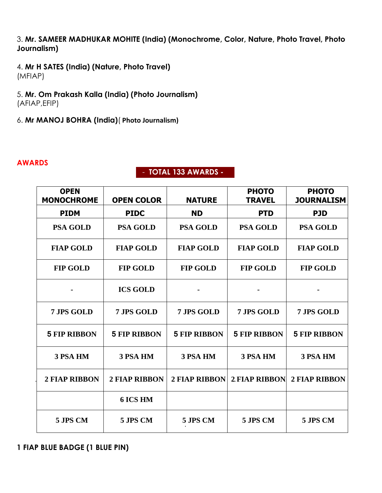3. **Mr. SAMEER MADHUKAR MOHITE (India) (Monochrome, Color, Nature, Photo Travel, Photo Journalism)**

- 4. **Mr H SATES (India) (Nature, Photo Travel)** (MFIAP)
- 5. **Mr. Om Prakash Kalla (India) (Photo Journalism)** (AFIAP,EFIP)
- 6. **Mr MANOJ BOHRA (India)**( **Photo Journalism)**

#### **AWARDS**

### - **TOTAL 133 AWARDS -**

| <b>OPEN</b><br><b>MONOCHROME</b> | <b>OPEN COLOR</b>    | <b>NATURE</b>        | <b>PHOTO</b><br><b>TRAVEL</b> | <b>PHOTO</b><br><b>JOURNALISM</b> |
|----------------------------------|----------------------|----------------------|-------------------------------|-----------------------------------|
| <b>PIDM</b>                      | <b>PIDC</b>          | <b>ND</b>            | <b>PTD</b>                    | <b>PJD</b>                        |
| <b>PSA GOLD</b>                  | <b>PSA GOLD</b>      | <b>PSA GOLD</b>      | <b>PSA GOLD</b>               | <b>PSA GOLD</b>                   |
| <b>FIAP GOLD</b>                 | <b>FIAP GOLD</b>     | <b>FIAP GOLD</b>     | <b>FIAP GOLD</b>              | <b>FIAP GOLD</b>                  |
| <b>FIP GOLD</b>                  | <b>FIP GOLD</b>      | <b>FIP GOLD</b>      | <b>FIP GOLD</b>               | <b>FIP GOLD</b>                   |
|                                  | <b>ICS GOLD</b>      |                      |                               |                                   |
| 7 JPS GOLD                       | 7 JPS GOLD           | 7 JPS GOLD           | 7 JPS GOLD                    | 7 JPS GOLD                        |
| <b>5 FIP RIBBON</b>              | <b>5 FIP RIBBON</b>  | <b>5 FIP RIBBON</b>  | <b>5 FIP RIBBON</b>           | <b>5 FIP RIBBON</b>               |
| 3 PSA HM                         | <b>3 PSA HM</b>      | <b>3 PSA HM</b>      | 3 PSA HM                      | 3 PSA HM                          |
| <b>2 FIAP RIBBON</b>             | <b>2 FIAP RIBBON</b> | <b>2 FIAP RIBBON</b> | <b>2 FIAP RIBBON</b>          | <b>2 FIAP RIBBON</b>              |
|                                  | <b>6 ICS HM</b>      |                      |                               |                                   |
| 5 JPS CM                         | 5 JPS CM             | 5 JPS CM             | 5 JPS CM                      | 5 JPS CM                          |

**1 FIAP BLUE BADGE (1 BLUE PIN)**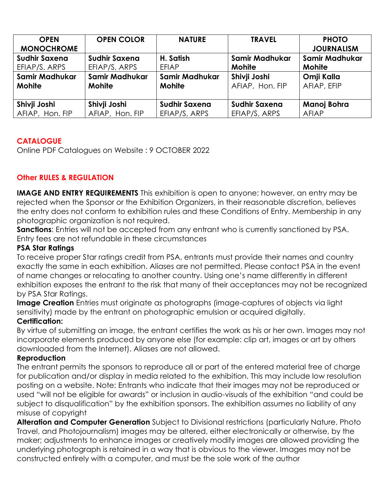| <b>OPEN</b><br><b>MONOCHROME</b> | <b>OPEN COLOR</b>    | <b>NATURE</b>        | <b>TRAVEL</b>         | <b>PHOTO</b><br><b>JOURNALISM</b> |
|----------------------------------|----------------------|----------------------|-----------------------|-----------------------------------|
| <b>Sudhir Saxena</b>             | <b>Sudhir Saxena</b> | H. Satish            | <b>Samir Madhukar</b> | <b>Samir Madhukar</b>             |
| EFIAP/S, ARPS                    | EFIAP/S, ARPS        | <b>EFIAP</b>         | <b>Mohite</b>         | <b>Mohite</b>                     |
| <b>Samir Madhukar</b>            | Samir Madhukar       | Samir Madhukar       | Shivji Joshi          | Omji Kalla                        |
| Mohite                           | <b>Mohite</b>        | Mohite               | AFIAP, Hon. FIP       | AFIAP, EFIP                       |
|                                  |                      |                      |                       |                                   |
| Shivji Joshi                     | Shivji Joshi         | <b>Sudhir Saxena</b> | <b>Sudhir Saxena</b>  | Manoj Bohra                       |
| AFIAP, Hon. FIP                  | AFIAP, Hon. FIP      | EFIAP/S, ARPS        | EFIAP/S, ARPS         | <b>AFIAP</b>                      |

# **CATALOGUE**

Online PDF Catalogues on Website : 9 OCTOBER 2022

# **Other RULES & REGULATION**

**IMAGE AND ENTRY REQUIREMENTS** This exhibition is open to anyone; however, an entry may be rejected when the Sponsor or the Exhibition Organizers, in their reasonable discretion, believes the entry does not conform to exhibition rules and these Conditions of Entry. Membership in any photographic organization is not required.

**Sanctions**: Entries will not be accepted from any entrant who is currently sanctioned by PSA. Entry fees are not refundable in these circumstances

## **PSA Star Ratings**

To receive proper Star ratings credit from PSA, entrants must provide their names and country exactly the same in each exhibition. Aliases are not permitted. Please contact PSA in the event of name changes or relocating to another country. Using one's name differently in different exhibition exposes the entrant to the risk that many of their acceptances may not be recognized by PSA Star Ratings.

**Image Creation** Entries must originate as photographs (image-captures of objects via light sensitivity) made by the entrant on photographic emulsion or acquired digitally.

# **Certification:**

By virtue of submitting an image, the entrant certifies the work as his or her own. Images may not incorporate elements produced by anyone else (for example: clip art, images or art by others downloaded from the Internet). Aliases are not allowed.

# **Reproduction**

The entrant permits the sponsors to reproduce all or part of the entered material free of charge for publication and/or display in media related to the exhibition. This may include low resolution posting on a website. Note: Entrants who indicate that their images may not be reproduced or used "will not be eligible for awards" or inclusion in audio-visuals of the exhibition "and could be subject to disqualification" by the exhibition sponsors. The exhibition assumes no liability of any misuse of copyright

**Alteration and Computer Generation** Subject to Divisional restrictions (particularly Nature, Photo Travel, and Photojournalism) images may be altered, either electronically or otherwise, by the maker; adjustments to enhance images or creatively modify images are allowed providing the underlying photograph is retained in a way that is obvious to the viewer. Images may not be constructed entirely with a computer, and must be the sole work of the author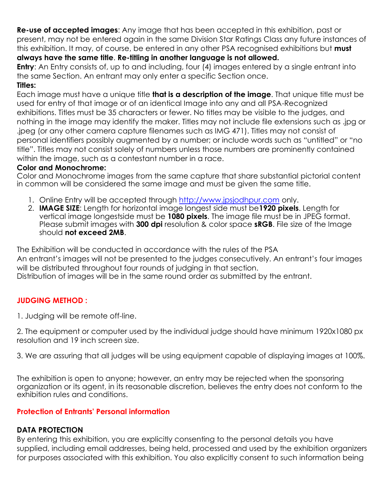**Re-use of accepted images**: Any image that has been accepted in this exhibition, past or present, may not be entered again in the same Division Star Ratings Class any future instances of this exhibition. It may, of course, be entered in any other PSA recognised exhibitions but **must always have the same title**. **Re-titling in another language is not allowed.** 

**Entry:** An Entry consists of, up to and including, four (4) images entered by a single entrant into the same Section. An entrant may only enter a specific Section once.

# **Titles:**

Each image must have a unique title **that is a description of the image**. That unique title must be used for entry of that image or of an identical Image into any and all PSA-Recognized exhibitions. Titles must be 35 characters or fewer. No titles may be visible to the judges, and nothing in the image may identify the maker. Titles may not include file extensions such as .jpg or .jpeg (or any other camera capture filenames such as IMG 471). Titles may not consist of personal identifiers possibly augmented by a number; or include words such as "untitled" or "no title". Titles may not consist solely of numbers unless those numbers are prominently contained within the image, such as a contestant number in a race.

# **Color and Monochrome:**

Color and Monochrome images from the same capture that share substantial pictorial content in common will be considered the same image and must be given the same title.

- 1. Online Entry will be accepted through [http://www.jpsjodhpur.com](http://www.jpsjodhpur.com/) only.
- 2. **IMAGE SIZE**: Length for horizontal image longest side must be**1920 pixels**. Length for vertical image longestside must be **1080 pixels**. The image file must be in JPEG format. Please submit images with **300 dpi** resolution & color space **sRGB**. File size of the Image should **not exceed 2MB**.

The Exhibition will be conducted in accordance with the rules of the PSA An entrant's images will not be presented to the judges consecutively. An entrant's four images will be distributed throughout four rounds of judging in that section. Distribution of images will be in the same round order as submitted by the entrant.

# **JUDGING METHOD :**

1. Judging will be remote off-line.

2. The equipment or computer used by the individual judge should have minimum 1920x1080 px resolution and 19 inch screen size.

3. We are assuring that all judges will be using equipment capable of displaying images at 100%.

The exhibition is open to anyone; however, an entry may be rejected when the sponsoring organization or its agent, in its reasonable discretion, believes the entry does not conform to the exhibition rules and conditions.

# **Protection of Entrants' Personal information**

# **DATA PROTECTION**

By entering this exhibition, you are explicitly consenting to the personal details you have supplied, including email addresses, being held, processed and used by the exhibition organizers for purposes associated with this exhibition. You also explicitly consent to such information being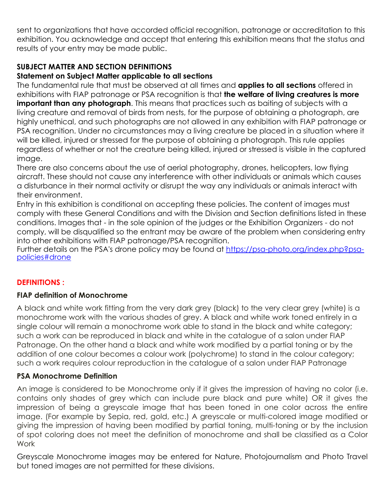sent to organizations that have accorded official recognition, patronage or accreditation to this exhibition. You acknowledge and accept that entering this exhibition means that the status and results of your entry may be made public.

# **SUBJECT MATTER AND SECTION DEFINITIONS**

### **Statement on Subject Matter applicable to all sections**

The fundamental rule that must be observed at all times and **applies to all sections** offered in exhibitions with FIAP patronage or PSA recognition is that **the welfare of living creatures is more important than any photograph**. This means that practices such as baiting of subjects with a living creature and removal of birds from nests, for the purpose of obtaining a photograph, are highly unethical, and such photographs are not allowed in any exhibition with FIAP patronage or PSA recognition. Under no circumstances may a living creature be placed in a situation where it will be killed, injured or stressed for the purpose of obtaining a photograph. This rule applies regardless of whether or not the creature being killed, injured or stressed is visible in the captured image.

There are also concerns about the use of aerial photography, drones, helicopters, low flying aircraft. These should not cause any interference with other individuals or animals which causes a disturbance in their normal activity or disrupt the way any individuals or animals interact with their environment.

Entry in this exhibition is conditional on accepting these policies. The content of images must comply with these General Conditions and with the Division and Section definitions listed in these conditions. Images that - in the sole opinion of the judges or the Exhibition Organizers - do not comply, will be disqualified so the entrant may be aware of the problem when considering entry into other exhibitions with FIAP patronage/PSA recognition.

Further details on the PSA's drone policy may be found at [https://psa-photo.org/index.php?psa](https://psa-photo.org/index.php?psa-policies#drone)[policies#drone](https://psa-photo.org/index.php?psa-policies#drone)

# **DEFINITIONS :**

#### **FIAP definition of Monochrome**

A black and white work fitting from the very dark grey (black) to the very clear grey (white) is a monochrome work with the various shades of grey. A black and white work toned entirely in a single colour will remain a monochrome work able to stand in the black and white category; such a work can be reproduced in black and white in the catalogue of a salon under FIAP Patronage. On the other hand a black and white work modified by a partial toning or by the addition of one colour becomes a colour work (polychrome) to stand in the colour category; such a work requires colour reproduction in the catalogue of a salon under FIAP Patronage

#### **PSA Monochrome Definition**

An image is considered to be Monochrome only if it gives the impression of having no color (i.e. contains only shades of grey which can include pure black and pure white) OR it gives the impression of being a greyscale image that has been toned in one color across the entire image. (For example by Sepia, red, gold, etc.) A greyscale or multi-colored image modified or giving the impression of having been modified by partial toning, multi-toning or by the inclusion of spot coloring does not meet the definition of monochrome and shall be classified as a Color Work

Greyscale Monochrome images may be entered for Nature, Photojournalism and Photo Travel but toned images are not permitted for these divisions.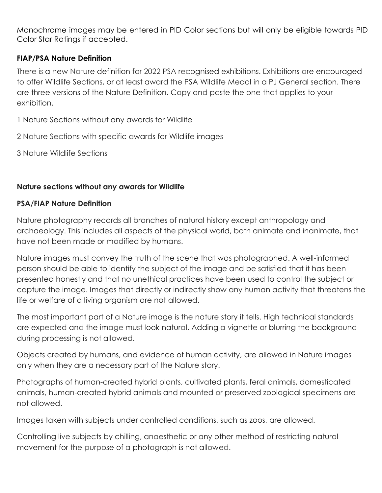Monochrome images may be entered in PID Color sections but will only be eligible towards PID Color Star Ratings if accepted.

## **FIAP/PSA Nature Definition**

There is a new Nature definition for 2022 PSA recognised exhibitions. Exhibitions are encouraged to offer Wildlife Sections, or at least award the PSA Wildlife Medal in a PJ General section. There are three versions of the Nature Definition. Copy and paste the one that applies to your exhibition.

1 Nature Sections without any awards for Wildlife

2 Nature Sections with specific awards for Wildlife images

3 Nature Wildlife Sections

### **Nature sections without any awards for Wildlife**

### **PSA/FIAP Nature Definition**

Nature photography records all branches of natural history except anthropology and archaeology. This includes all aspects of the physical world, both animate and inanimate, that have not been made or modified by humans.

Nature images must convey the truth of the scene that was photographed. A well-informed person should be able to identify the subject of the image and be satisfied that it has been presented honestly and that no unethical practices have been used to control the subject or capture the image. Images that directly or indirectly show any human activity that threatens the life or welfare of a living organism are not allowed.

The most important part of a Nature image is the nature story it tells. High technical standards are expected and the image must look natural. Adding a vignette or blurring the background during processing is not allowed.

Objects created by humans, and evidence of human activity, are allowed in Nature images only when they are a necessary part of the Nature story.

Photographs of human-created hybrid plants, cultivated plants, feral animals, domesticated animals, human-created hybrid animals and mounted or preserved zoological specimens are not allowed.

Images taken with subjects under controlled conditions, such as zoos, are allowed.

Controlling live subjects by chilling, anaesthetic or any other method of restricting natural movement for the purpose of a photograph is not allowed.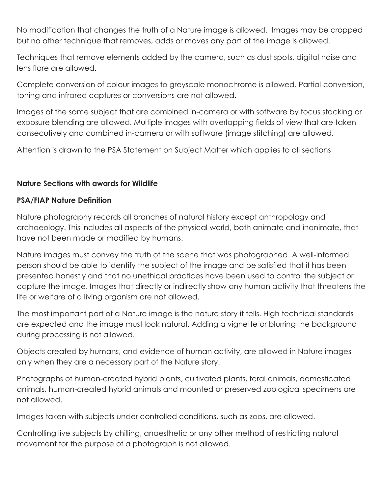No modification that changes the truth of a Nature image is allowed. Images may be cropped but no other technique that removes, adds or moves any part of the image is allowed.

Techniques that remove elements added by the camera, such as dust spots, digital noise and lens flare are allowed.

Complete conversion of colour images to greyscale monochrome is allowed. Partial conversion, toning and infrared captures or conversions are not allowed.

Images of the same subject that are combined in-camera or with software by focus stacking or exposure blending are allowed. Multiple images with overlapping fields of view that are taken consecutively and combined in-camera or with software (image stitching) are allowed.

Attention is drawn to the PSA Statement on Subject Matter which applies to all sections

# **Nature Sections with awards for Wildlife**

# **PSA/FIAP Nature Definition**

Nature photography records all branches of natural history except anthropology and archaeology. This includes all aspects of the physical world, both animate and inanimate, that have not been made or modified by humans.

Nature images must convey the truth of the scene that was photographed. A well-informed person should be able to identify the subject of the image and be satisfied that it has been presented honestly and that no unethical practices have been used to control the subject or capture the image. Images that directly or indirectly show any human activity that threatens the life or welfare of a living organism are not allowed.

The most important part of a Nature image is the nature story it tells. High technical standards are expected and the image must look natural. Adding a vignette or blurring the background during processing is not allowed.

Objects created by humans, and evidence of human activity, are allowed in Nature images only when they are a necessary part of the Nature story.

Photographs of human-created hybrid plants, cultivated plants, feral animals, domesticated animals, human-created hybrid animals and mounted or preserved zoological specimens are not allowed.

Images taken with subjects under controlled conditions, such as zoos, are allowed.

Controlling live subjects by chilling, anaesthetic or any other method of restricting natural movement for the purpose of a photograph is not allowed.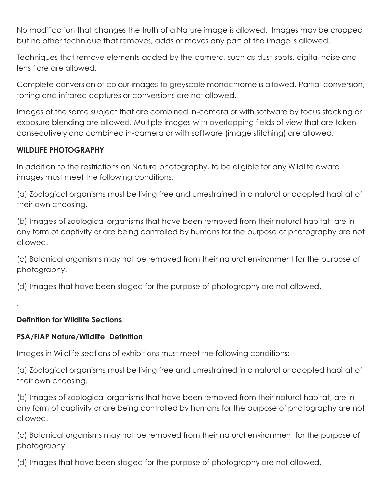No modification that changes the truth of a Nature image is allowed. Images may be cropped but no other technique that removes, adds or moves any part of the image is allowed.

Techniques that remove elements added by the camera, such as dust spots, digital noise and lens flare are allowed.

Complete conversion of colour images to greyscale monochrome is allowed. Partial conversion, toning and infrared captures or conversions are not allowed.

Images of the same subject that are combined in-camera or with software by focus stacking or exposure blending are allowed. Multiple images with overlapping fields of view that are taken consecutively and combined in-camera or with software (image stitching) are allowed.

# **WILDLIFE PHOTOGRAPHY**

In addition to the restrictions on Nature photography, to be eligible for any Wildlife award images must meet the following conditions:

(a) Zoological organisms must be living free and unrestrained in a natural or adopted habitat of their own choosing.

(b) Images of zoological organisms that have been removed from their natural habitat, are in any form of captivity or are being controlled by humans for the purpose of photography are not allowed.

(c) Botanical organisms may not be removed from their natural environment for the purpose of photography.

(d) Images that have been staged for the purpose of photography are not allowed.

# **Definition for Wildlife Sections**

.

# **PSA/FIAP Nature/Wildlife Definition**

Images in Wildlife sections of exhibitions must meet the following conditions:

(a) Zoological organisms must be living free and unrestrained in a natural or adopted habitat of their own choosing.

(b) Images of zoological organisms that have been removed from their natural habitat, are in any form of captivity or are being controlled by humans for the purpose of photography are not allowed.

(c) Botanical organisms may not be removed from their natural environment for the purpose of photography.

(d) Images that have been staged for the purpose of photography are not allowed.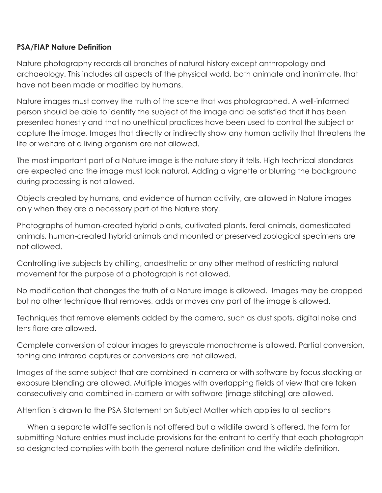# **PSA/FIAP Nature Definition**

Nature photography records all branches of natural history except anthropology and archaeology. This includes all aspects of the physical world, both animate and inanimate, that have not been made or modified by humans.

Nature images must convey the truth of the scene that was photographed. A well-informed person should be able to identify the subject of the image and be satisfied that it has been presented honestly and that no unethical practices have been used to control the subject or capture the image. Images that directly or indirectly show any human activity that threatens the life or welfare of a living organism are not allowed.

The most important part of a Nature image is the nature story it tells. High technical standards are expected and the image must look natural. Adding a vignette or blurring the background during processing is not allowed.

Objects created by humans, and evidence of human activity, are allowed in Nature images only when they are a necessary part of the Nature story.

Photographs of human-created hybrid plants, cultivated plants, feral animals, domesticated animals, human-created hybrid animals and mounted or preserved zoological specimens are not allowed.

Controlling live subjects by chilling, anaesthetic or any other method of restricting natural movement for the purpose of a photograph is not allowed.

No modification that changes the truth of a Nature image is allowed. Images may be cropped but no other technique that removes, adds or moves any part of the image is allowed.

Techniques that remove elements added by the camera, such as dust spots, digital noise and lens flare are allowed.

Complete conversion of colour images to greyscale monochrome is allowed. Partial conversion, toning and infrared captures or conversions are not allowed.

Images of the same subject that are combined in-camera or with software by focus stacking or exposure blending are allowed. Multiple images with overlapping fields of view that are taken consecutively and combined in-camera or with software (image stitching) are allowed.

Attention is drawn to the PSA Statement on Subject Matter which applies to all sections

 When a separate wildlife section is not offered but a wildlife award is offered, the form for submitting Nature entries must include provisions for the entrant to certify that each photograph so designated complies with both the general nature definition and the wildlife definition.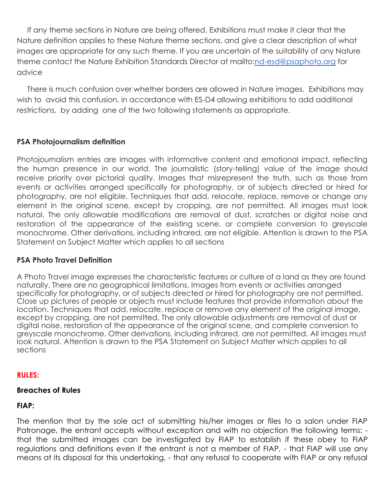If any theme sections in Nature are being offered, Exhibitions must make it clear that the Nature definition applies to these Nature theme sections, and give a clear description of what images are appropriate for any such theme. If you are uncertain of the suitability of any Nature theme contact the Nature Exhibition Standards Director at mailto[:nd-esd@psaphoto.org](mailto:nd-esd@psaphoto.org) for advice

 There is much confusion over whether borders are allowed in Nature images. Exhibitions may wish to avoid this confusion, in accordance with ES-D4 allowing exhibitions to add additional restrictions, by adding one of the two following statements as appropriate.

# **PSA Photojournalism definition**

Photojournalism entries are images with informative content and emotional impact, reflecting the human presence in our world. The journalistic (story-telling) value of the image should receive priority over pictorial quality. Images that misrepresent the truth, such as those from events or activities arranged specifically for photography, or of subjects directed or hired for photography, are not eligible. Techniques that add, relocate, replace, remove or change any element in the original scene, except by cropping, are not permitted. All images must look natural. The only allowable modifications are removal of dust, scratches or digital noise and restoration of the appearance of the existing scene, or complete conversion to greyscale monochrome. Other derivations, including infrared, are not eligible. Attention is drawn to the PSA Statement on Subject Matter which applies to all sections

#### **PSA Photo Travel Definition**

A Photo Travel image expresses the characteristic features or culture of a land as they are found naturally. There are no geographical limitations. Images from events or activities arranged specifically for photography, or of subjects directed or hired for photography are not permitted. Close up pictures of people or objects must include features that provide information about the location. Techniques that add, relocate, replace or remove any element of the original image, except by cropping, are not permitted. The only allowable adjustments are removal of dust or digital noise, restoration of the appearance of the original scene, and complete conversion to greyscale monochrome. Other derivations, including infrared, are not permitted. All images must look natural. Attention is drawn to the PSA Statement on Subject Matter which applies to all sections

#### **RULES:**

#### **Breaches of Rules**

#### **FIAP:**

The mention that by the sole act of submitting his/her images or files to a salon under FIAP Patronage, the entrant accepts without exception and with no objection the following terms: that the submitted images can be investigated by FIAP to establish if these obey to FIAP regulations and definitions even if the entrant is not a member of FIAP, - that FIAP will use any means at its disposal for this undertaking, - that any refusal to cooperate with FIAP or any refusal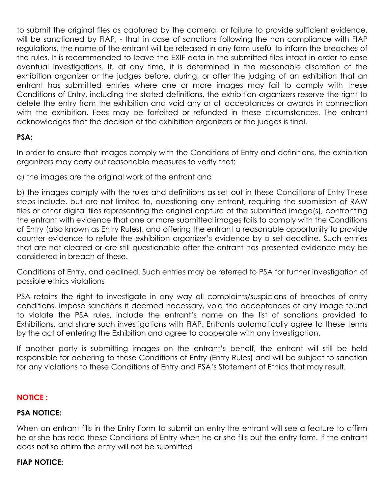to submit the original files as captured by the camera, or failure to provide sufficient evidence, will be sanctioned by FIAP, - that in case of sanctions following the non compliance with FIAP regulations, the name of the entrant will be released in any form useful to inform the breaches of the rules. It is recommended to leave the EXIF data in the submitted files intact in order to ease eventual investigations. If, at any time, it is determined in the reasonable discretion of the exhibition organizer or the judges before, during, or after the judging of an exhibition that an entrant has submitted entries where one or more images may fail to comply with these Conditions of Entry, including the stated definitions, the exhibition organizers reserve the right to delete the entry from the exhibition and void any or all acceptances or awards in connection with the exhibition. Fees may be forfeited or refunded in these circumstances. The entrant acknowledges that the decision of the exhibition organizers or the judges is final.

# **PSA:**

In order to ensure that images comply with the Conditions of Entry and definitions, the exhibition organizers may carry out reasonable measures to verify that:

a) the images are the original work of the entrant and

b) the images comply with the rules and definitions as set out in these Conditions of Entry These steps include, but are not limited to, questioning any entrant, requiring the submission of RAW files or other digital files representing the original capture of the submitted image(s), confronting the entrant with evidence that one or more submitted images fails to comply with the Conditions of Entry (also known as Entry Rules), and offering the entrant a reasonable opportunity to provide counter evidence to refute the exhibition organizer's evidence by a set deadline. Such entries that are not cleared or are still questionable after the entrant has presented evidence may be considered in breach of these.

Conditions of Entry, and declined. Such entries may be referred to PSA for further investigation of possible ethics violations

PSA retains the right to investigate in any way all complaints/suspicions of breaches of entry conditions, impose sanctions if deemed necessary, void the acceptances of any image found to violate the PSA rules, include the entrant's name on the list of sanctions provided to Exhibitions, and share such investigations with FIAP. Entrants automatically agree to these terms by the act of entering the Exhibition and agree to cooperate with any investigation.

If another party is submitting images on the entrant's behalf, the entrant will still be held responsible for adhering to these Conditions of Entry (Entry Rules) and will be subject to sanction for any violations to these Conditions of Entry and PSA's Statement of Ethics that may result.

# **NOTICE :**

#### **PSA NOTICE:**

When an entrant fills in the Entry Form to submit an entry the entrant will see a feature to affirm he or she has read these Conditions of Entry when he or she fills out the entry form. If the entrant does not so affirm the entry will not be submitted

#### **FIAP NOTICE:**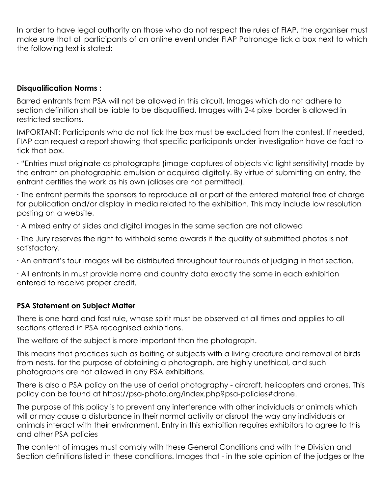In order to have legal authority on those who do not respect the rules of FIAP, the organiser must make sure that all participants of an online event under FIAP Patronage tick a box next to which the following text is stated:

### **Disqualification Norms :**

Barred entrants from PSA will not be allowed in this circuit. Images which do not adhere to section definition shall be liable to be disqualified. Images with 2-4 pixel border is allowed in restricted sections.

IMPORTANT: Participants who do not tick the box must be excluded from the contest. If needed, FIAP can request a report showing that specific participants under investigation have de fact to tick that box.

∙ "Entries must originate as photographs (image-captures of objects via light sensitivity) made by the entrant on photographic emulsion or acquired digitally. By virtue of submitting an entry, the entrant certifies the work as his own (aliases are not permitted).

∙ The entrant permits the sponsors to reproduce all or part of the entered material free of charge for publication and/or display in media related to the exhibition. This may include low resolution posting on a website,

∙ A mixed entry of slides and digital images in the same section are not allowed

∙ The Jury reserves the right to withhold some awards if the quality of submitted photos is not satisfactory.

∙ An entrant's four images will be distributed throughout four rounds of judging in that section.

∙ All entrants in must provide name and country data exactly the same in each exhibition entered to receive proper credit.

# **PSA Statement on Subject Matter**

There is one hard and fast rule, whose spirit must be observed at all times and applies to all sections offered in PSA recognised exhibitions.

The welfare of the subject is more important than the photograph.

This means that practices such as baiting of subjects with a living creature and removal of birds from nests, for the purpose of obtaining a photograph, are highly unethical, and such photographs are not allowed in any PSA exhibitions.

There is also a PSA policy on the use of aerial photography - aircraft, helicopters and drones. This policy can be found at https://psa-photo.org/index.php?psa-policies#drone.

The purpose of this policy is to prevent any interference with other individuals or animals which will or may cause a disturbance in their normal activity or disrupt the way any individuals or animals interact with their environment. Entry in this exhibition requires exhibitors to agree to this and other PSA policies

The content of images must comply with these General Conditions and with the Division and Section definitions listed in these conditions. Images that - in the sole opinion of the judges or the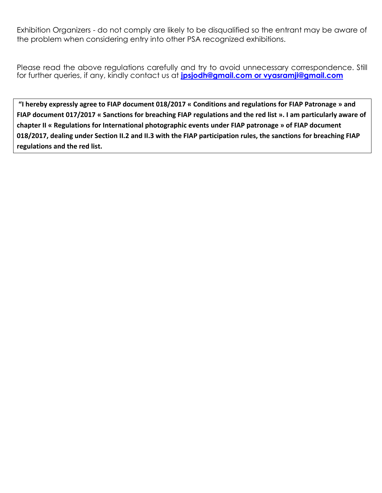Exhibition Organizers - do not comply are likely to be disqualified so the entrant may be aware of the problem when considering entry into other PSA recognized exhibitions.

Please read the above regulations carefully and try to avoid unnecessary correspondence. Still for further queries, if any, kindly contact us at **[jpsjodh@gmail.com](mailto:%20jpsjodh@gmail.co) or vyasramji@gmail.com**

**"I hereby expressly agree to FIAP document 018/2017 « Conditions and regulations for FIAP Patronage » and FIAP document 017/2017 « Sanctions for breaching FIAP regulations and the red list ». I am particularly aware of chapter II « Regulations for International photographic events under FIAP patronage » of FIAP document 018/2017, dealing under Section II.2 and II.3 with the FIAP participation rules, the sanctions for breaching FIAP regulations and the red list.**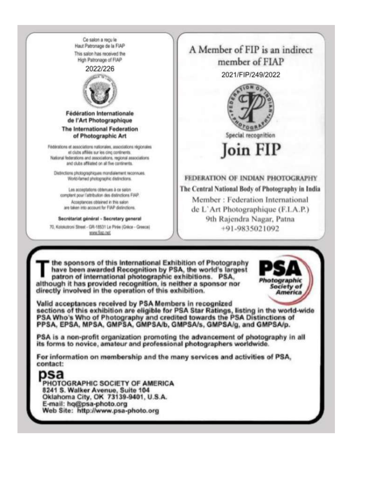